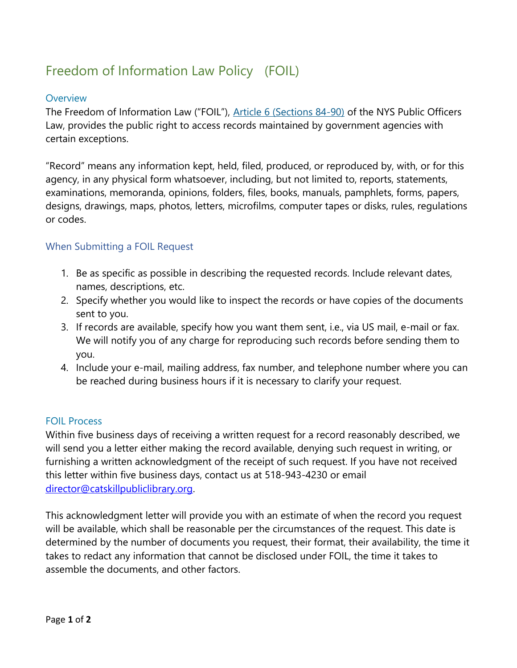# Freedom of Information Law Policy (FOIL)

#### **Overview**

The Freedom of Information Law ("FOIL"), [Article 6 \(Sections 84-90\)](https://opengovernment.ny.gov/freedom-information-law) of the NYS Public Officers Law, provides the public right to access records maintained by government agencies with certain exceptions.

"Record" means any information kept, held, filed, produced, or reproduced by, with, or for this agency, in any physical form whatsoever, including, but not limited to, reports, statements, examinations, memoranda, opinions, folders, files, books, manuals, pamphlets, forms, papers, designs, drawings, maps, photos, letters, microfilms, computer tapes or disks, rules, regulations or codes.

## When Submitting a FOIL Request

- 1. Be as specific as possible in describing the requested records. Include relevant dates, names, descriptions, etc.
- 2. Specify whether you would like to inspect the records or have copies of the documents sent to you.
- 3. If records are available, specify how you want them sent, i.e., via US mail, e-mail or fax. We will notify you of any charge for reproducing such records before sending them to you.
- 4. Include your e-mail, mailing address, fax number, and telephone number where you can be reached during business hours if it is necessary to clarify your request.

#### FOIL Process

Within five business days of receiving a written request for a record reasonably described, we will send you a letter either making the record available, denying such request in writing, or furnishing a written acknowledgment of the receipt of such request. If you have not received this letter within five business days, contact us at 518-943-4230 or email [director@catskillpubliclibrary.org.](mailto:director@catskillpubliclibrary.org)

This acknowledgment letter will provide you with an estimate of when the record you request will be available, which shall be reasonable per the circumstances of the request. This date is determined by the number of documents you request, their format, their availability, the time it takes to redact any information that cannot be disclosed under FOIL, the time it takes to assemble the documents, and other factors.